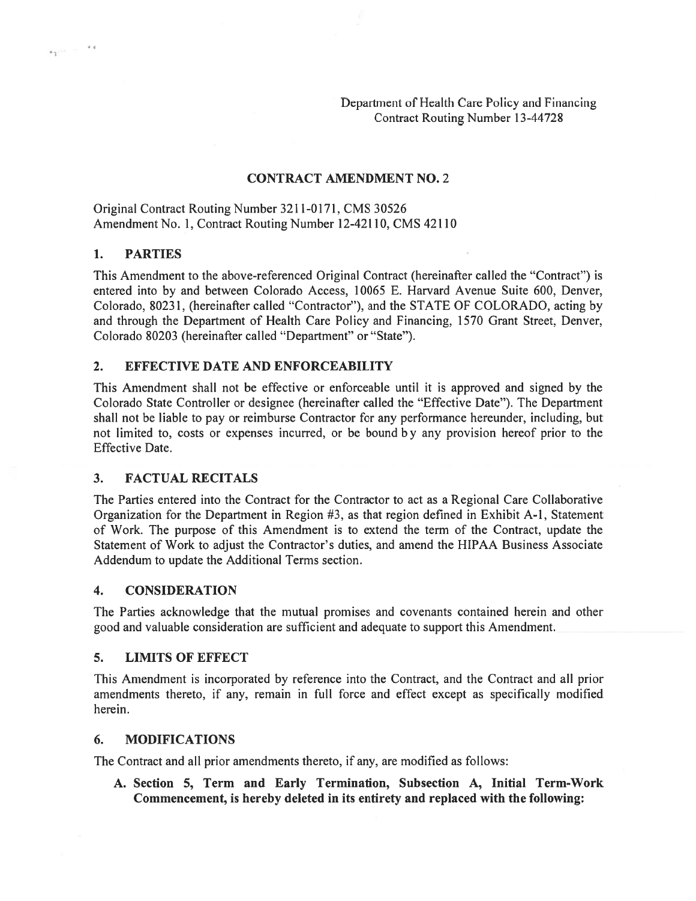Department of Health Care Policy and Financing Contract Routing Number 13-44728

#### CONTRACT AMENDMENT NO. 2

Original Contract Routing Number 321 1-0171, CMS 30526 Amendment No. 1, Contract Routing Number 12-42110, CMS 42110

#### 1. PARTIES

 $\epsilon_1 = 1$  =  $\epsilon_4$ 

This Amendment to the above-referenced Original Contract (hereinafter called the "Contract") is entered into by and between Colorado Access, 10065 E. Harvard Avenue Suite 600, Denver, Colorado, 80231, (hereinafter called "Contractor"), and the STATE OF COLORADO, acting by and through the Department of Health Care Policy and Financing, 1570 Grant Street, Denver, Colorado 80203 (hereinafter called "Department" or "State").

#### 2. EFFECTIVE DATE AND ENFORCEABILITY

This Amendment shall not be effective or enforceable until it is approved and signed by the Colorado State Controller or designee (hereinafter called the "Effective Date"). The Department shall not be liable to pay or reimburse Contractor for any performance hereunder, including, but not limited to, costs or expenses incurred, or be bound b <sup>y</sup> any provision hereof prior to the Effective Date.

#### 3. FACTUAL RECITALS

The Parties entered into the Contract for the Contractor to act as <sup>a</sup> Regional Care Collaborative Organization for the Department in Region  $#3$ , as that region defined in Exhibit A-1, Statement of Work. The purpose of this Amendment is to extend the term of the Contract, update the Statement of Work to adjust the Contractor's duties, and amend the HIPAA Business Associate Addendum to update the Additional Terms section.

#### 4. CONSIDERATION

The Parties acknowledge that the mutual promises and covenants contained herein and other good and valuable consideration are sufficient and adequate to suppor<sup>t</sup> this Amendment.

#### 5. LIMITS OF EFFECT

This Amendment is incorporated by reference into the Contract, and the Contract and all prior amendments thereto, if any, remain in full force and effect excep<sup>t</sup> as specifically modified herein.

#### 6. MODIFICATIONS

The Contract and all prior amendments thereto, if any, are modified as follows:

A. Section 5, Term and Early Termination, Subsection A, Initial Term-Work Commencement, is hereby deleted in its entirety and replaced with the following: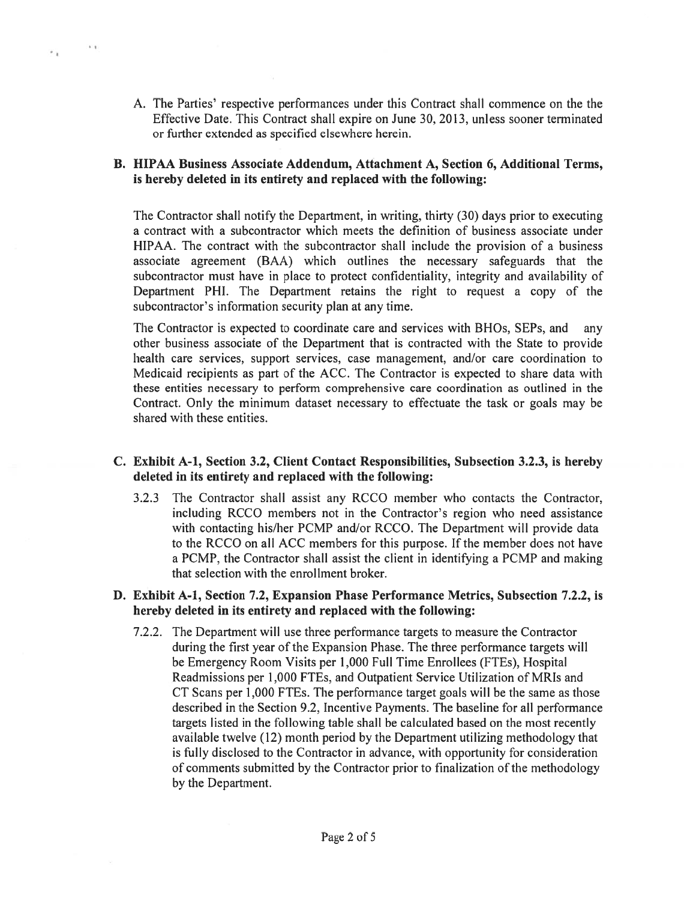A. The Parties' respective performances under this Contract shall commence on the the Effective Date. This Contract shall expire on June 30, 2013, unless sooner terminated or further extended as specified elsewhere herein.

 $^{\circ}$ 

 $\sim$   $\sim$ 

## B. HIPAA Business Associate Addendum, Attachment A, Section 6, Additional Terms, is hereby deleted in its entirety and replaced with the following:

The Contractor shall notify the Department, in writing, thirty (30) days prior to executing <sup>a</sup> contract with <sup>a</sup> subcontractor which meets the definition of business associate under HIPAA. The contract with the subcontractor shall include the provision of <sup>a</sup> business associate agreemen<sup>t</sup> (BAA) which outlines the necessary safeguards that the subcontractor must have in place to protect confidentiality, integrity and availability of Department PHI. The Department retains the right to reques<sup>t</sup> <sup>a</sup> copy of the subcontractor's information security plan at any time.

The Contractor is expected to coordinate care and services with BHOs, SEPs, and any other business associate of the Department that is contracted with the State to provide health care services, suppor<sup>t</sup> services, case management, and/or care coordination to Medicaid recipients as par<sup>t</sup> of the ACC. The Contractor is expected to share data with these entities necessary to perform comprehensive care coordination as outlined in the Contract. Only the minimum dataset necessary to effectuate the task or goals may be shared with these entities.

### C. Exhibit A-i, Section 3.2, Client Contact Responsibilities, Subsection 3.2.3, is hereby deleted in its entirety and replaced with the following:

3.2.3 The Contractor shall assist any RCCO member who contacts the Contractor, including RCCO members not in the Contractor's region who need assistance with contacting his/her PCMP and/or RCCO. The Department will provide data to the RCCO on all ACC members for this purpose. If the member does not have <sup>a</sup> PCMP, the Contractor shall assist the client in identifying <sup>a</sup> PCMP and making that selection with the enrollment broker.

# D. Exhibit A-i, Section 7.2, Expansion Phase Performance Metrics, Subsection 7.2.2, is hereby deleted in its entirety and replaced with the following:

7.2.2. The Department will use three performance targets to measure the Contractor during the first year of the Expansion Phase. The three performance targets will be Emergency Room Visits per 1,000 Full Time Enrollees (FTEs), Hospital Readmissions per 1,000 FTEs, and Outpatient Service Utilization of MRIs and CT Scans per 1,000 FTEs. The performance target goals will be the same as those described in the Section 9.2, Incentive Payments. The baseline for all performance targets listed in the following table shall be calculated based on the most recently available twelve (12) month period by the Department utilizing methodology that is fully disclosed to the Contractor in advance, with opportunity for consideration of comments submitted by the Contractor prior to finalization of the methodology by the Department.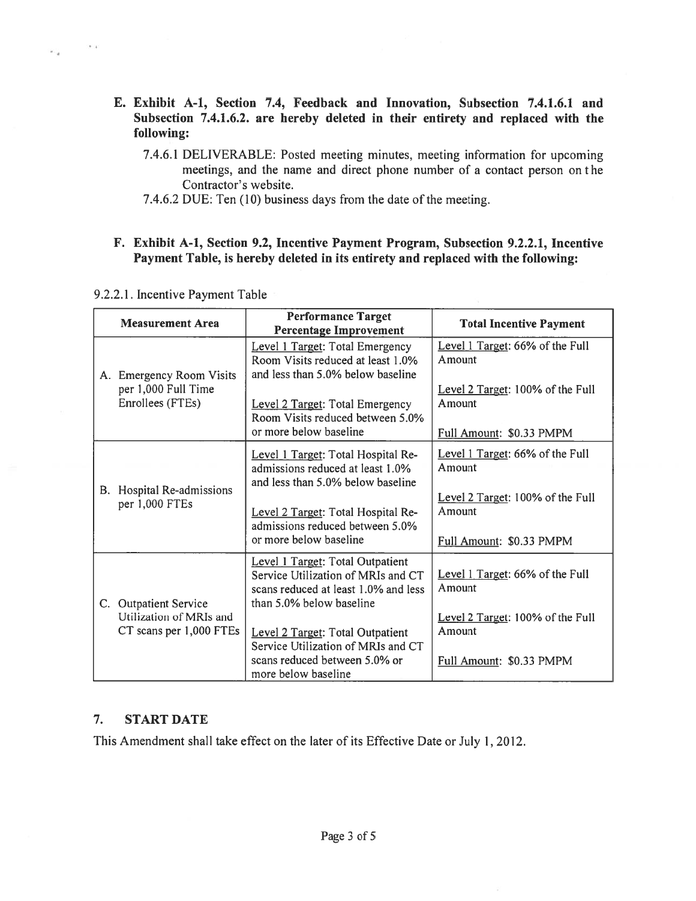- E. Exhibit A-i, Section 7.4, Feedback and Innovation, Subsection 7.4.1.6.1 and Subsection 7.4.1.6.2. are hereby deleted in their entirety and replaced with the following:
	- 7.4.6.1 DELIVERABLE: Posted meeting minutes, meeting information for upcoming meetings, and the name and direct phone number of a contact person on the Contractor's website.
	- 7.4.6.2 DUE: Ten (10) business days from the date of the meeting.

# F. Exhibit A-i, Section 9.2, Incentive Payment Program, Subsection 9.2.2.1, Incentive Payment Table, is hereby deleted in its entirety and replaced with the following:

 $-1 - 4$ 

×.

| <b>Measurement Area</b>                                             | <b>Performance Target</b><br><b>Percentage Improvement</b>                                                                                 | <b>Total Incentive Payment</b>                                         |
|---------------------------------------------------------------------|--------------------------------------------------------------------------------------------------------------------------------------------|------------------------------------------------------------------------|
| A. Emergency Room Visits<br>per 1,000 Full Time<br>Enrollees (FTEs) | Level 1 Target: Total Emergency<br>Room Visits reduced at least 1.0%<br>and less than 5.0% below baseline                                  | Level 1 Target: 66% of the Full<br>Amount                              |
|                                                                     | Level 2 Target: Total Emergency<br>Room Visits reduced between 5.0%                                                                        | Level 2 Target: 100% of the Full<br>Amount                             |
|                                                                     | or more below baseline                                                                                                                     | Full Amount: \$0.33 PMPM                                               |
| B. Hospital Re-admissions<br>per 1,000 FTEs                         | Level 1 Target: Total Hospital Re-<br>admissions reduced at least 1.0%<br>and less than 5.0% below baseline                                | Level 1 Target: 66% of the Full<br>Amount                              |
|                                                                     | Level 2 Target: Total Hospital Re-<br>admissions reduced between 5.0%<br>or more below baseline                                            | Level 2 Target: 100% of the Full<br>Amount<br>Full Amount: \$0.33 PMPM |
| C. Outpatient Service                                               | Level 1 Target: Total Outpatient<br>Service Utilization of MRIs and CT<br>scans reduced at least 1.0% and less<br>than 5.0% below baseline | Level 1 Target: 66% of the Full<br>Amount                              |
| Utilization of MRIs and<br>CT scans per 1,000 FTEs                  | Level 2 Target: Total Outpatient<br>Service Utilization of MRIs and CT<br>scans reduced between 5.0% or                                    | Level 2 Target: 100% of the Full<br>Amount<br>Full Amount: \$0.33 PMPM |
|                                                                     | more below baseline                                                                                                                        |                                                                        |

# 7. START DATE

This Amendment shall take effect on the later of its Effective Date or July 1,2012.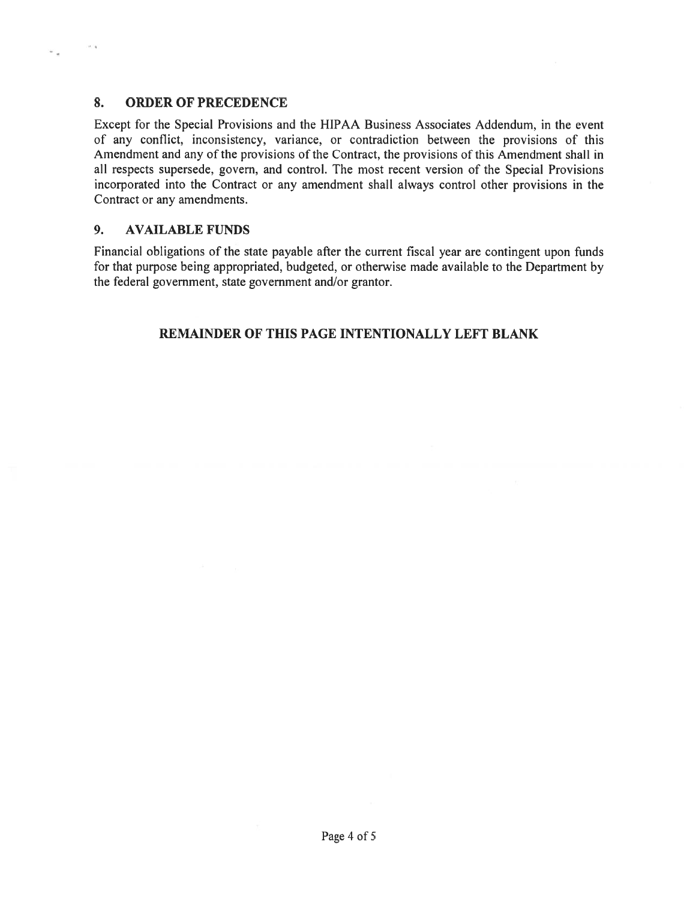## 8. ORDER OF PRECEDENCE

Except for the Special Provisions and the HIPAA Business Associates Addendum, in the event of any conflict, inconsistency, variance, or contradiction between the provisions of this Amendment and any of the provisions of the Contract, the provisions of this Amendment shall in all respects supersede. govern, and control. The most recent version of the Special Provisions incorporated into the Contract or any amendment shall always control other provisions in the Contract or any amendments.

### 9. AVAILABLE FUNDS

Financial obligations of the state payable after the current fiscal year are contingent upon funds for that purpose being appropriated, budgeted, or otherwise made available to the Department by the federal government, state governmen<sup>t</sup> and/or grantor.

# REMAINDER OF THIS PAGE INTENTIONALLY LEFT BLANK